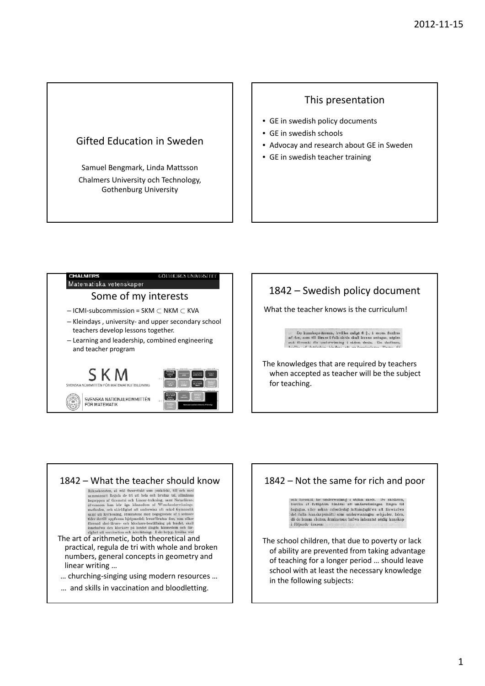## Gifted Education in Sweden

Samuel Bengmark, Linda Mattsson Chalmers University och Technology, Gothenburg University

#### This presentation

- GE in swedish policy documents
- GE in swedish schools
- Advocay and research about GE in Sweden
- GE in swedish teacher training



# 1842 – Swedish policy document

What the teacher knows is the curriculum!

De kunskaps-ämnen, hvilka enligt 6 $\S$ , 1 mom. fordra af den, som till lärare i folk skola skall kunna antagas, utgöre och föremåt för undervisning i sådan skola. De skolarn, skolarn kolarnet better til skolarn. Skolarnet

The knowledges that are required by teachers when accepted as teacher will be the subject for teaching.



#### 1842 – Not the same for rich and poor

ock foremål for underwisning i sådan skola. De skolbarn,<br>hwilka af fattigdom hindras att underwisningen längre tid begagna, eller sakna erforderlig fattningsgåfwa att förvärf<br/>wa det fulla kunskapsmått, som underwisningen erbjuder, böra, då de lemma skolan, atminstone haf<br/>wa inhemtat nödig kunskap, i följande ämnen:

The school children, that due to poverty or lack of ability are prevented from taking advantage of teaching for a longer period … should leave school with at least the necessary knowledge in the following subjects: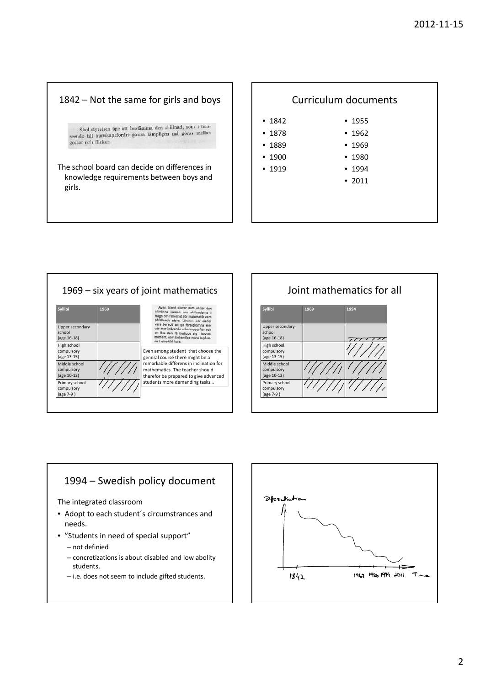#### 1842 – Not the same for girls and boys

Skol-styrelsen äge att bestämma den skillnad, som i hänskot-styretsen age att bestämnt den ben må göras mellan gossar och flickor.

The school board can decide on differences in knowledge requirements between boys and girls.





Joint mathematics for all **Syllibi 1969 1994** Upper secondary school (age 16‐18) High school compulsory (age 13‐15) Middle school compulsory (age 10‐12) Primary school compulsory (age 7‐9 )

### 1994 – Swedish policy document

#### The integrated classroom

- Adopt to each student´s circumstrances and needs.
- "Students in need of special support"
	- not definied
	- concretizations is about disabled and low abolity students.
	- i.e. does not seem to include gifted students.

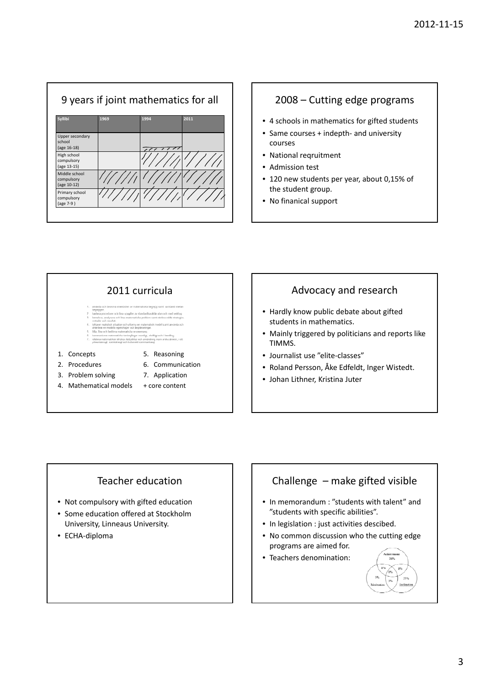

#### 2008 – Cutting edge programs

- 4 schools in mathematics for gifted students
- Same courses + indepth- and university courses
- National reqruitment
- Admission test
- 120 new students per year, about 0,15% of the student group.
- No finanical support



- 1. Concepts
- 2. Procedures
- 6. Communication
- 7. Application
- 3. Problem solving 4. Mathematical models
	- + core content

### Advocacy and research

- Hardly know public debate about gifted students in mathematics.
- Mainly triggered by politicians and reports like TIMMS.
- Journalist use "elite‐classes"
- Roland Persson, Åke Edfeldt, Inger Wistedt.
- Johan Lithner, Kristina Juter

# Teacher education

- Not compulsory with gifted education
- Some education offered at Stockholm University, Linneaus University.
- ECHA-diploma

# Challenge – make gifted visible

- In memorandum : "students with talent" and "students with specific abilities".
- In legislation : just activities descibed.
- No common discussion who the cutting edge programs are aimed for.
- Teachers denomination: